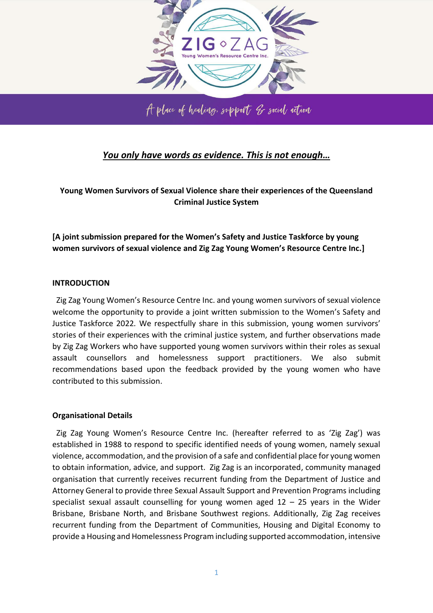

## *You only have words as evidence. This is not enough…*

**Young Women Survivors of Sexual Violence share their experiences of the Queensland Criminal Justice System** 

**[A joint submission prepared for the Women's Safety and Justice Taskforce by young women survivors of sexual violence and Zig Zag Young Women's Resource Centre Inc.]** 

## **INTRODUCTION**

 Zig Zag Young Women's Resource Centre Inc. and young women survivors of sexual violence welcome the opportunity to provide a joint written submission to the Women's Safety and Justice Taskforce 2022*.* We respectfully share in this submission, young women survivors' stories of their experiences with the criminal justice system, and further observations made by Zig Zag Workers who have supported young women survivors within their roles as sexual assault counsellors and homelessness support practitioners. We also submit recommendations based upon the feedback provided by the young women who have contributed to this submission.

## **Organisational Details**

 Zig Zag Young Women's Resource Centre Inc. (hereafter referred to as 'Zig Zag') was established in 1988 to respond to specific identified needs of young women, namely sexual violence, accommodation, and the provision of a safe and confidential place for young women to obtain information, advice, and support. Zig Zag is an incorporated, community managed organisation that currently receives recurrent funding from the Department of Justice and Attorney General to provide three Sexual Assault Support and Prevention Programs including specialist sexual assault counselling for young women aged  $12 - 25$  years in the Wider Brisbane, Brisbane North, and Brisbane Southwest regions. Additionally, Zig Zag receives recurrent funding from the Department of Communities, Housing and Digital Economy to provide a Housing and Homelessness Program including supported accommodation, intensive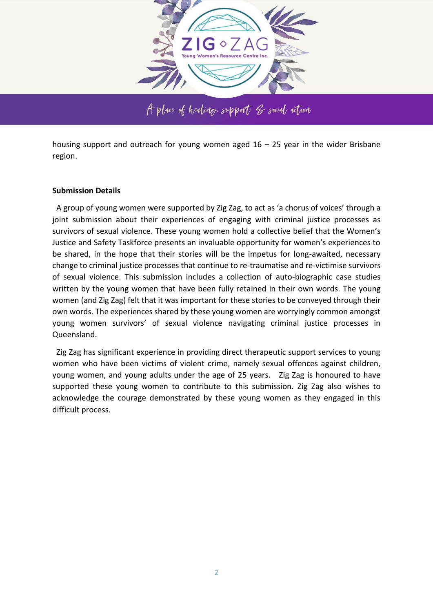

housing support and outreach for young women aged  $16 - 25$  year in the wider Brisbane region.

#### **Submission Details**

 A group of young women were supported by Zig Zag, to act as 'a chorus of voices' through a joint submission about their experiences of engaging with criminal justice processes as survivors of sexual violence. These young women hold a collective belief that the Women's Justice and Safety Taskforce presents an invaluable opportunity for women's experiences to be shared, in the hope that their stories will be the impetus for long-awaited, necessary change to criminal justice processes that continue to re-traumatise and re-victimise survivors of sexual violence. This submission includes a collection of auto-biographic case studies written by the young women that have been fully retained in their own words. The young women (and Zig Zag) felt that it was important for these stories to be conveyed through their own words. The experiences shared by these young women are worryingly common amongst young women survivors' of sexual violence navigating criminal justice processes in Queensland.

 Zig Zag has significant experience in providing direct therapeutic support services to young women who have been victims of violent crime, namely sexual offences against children, young women, and young adults under the age of 25 years. Zig Zag is honoured to have supported these young women to contribute to this submission. Zig Zag also wishes to acknowledge the courage demonstrated by these young women as they engaged in this difficult process.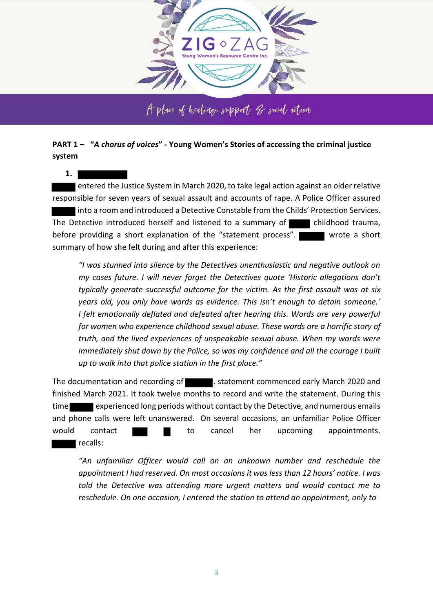

## **PART 1 – "***A chorus of voices***" - Young Women's Stories of accessing the criminal justice system**

**1.**

 entered the Justice System in March 2020, to take legal action against an older relative responsible for seven years of sexual assault and accounts of rape. A Police Officer assured into a room and introduced a Detective Constable from the Childs' Protection Services. The Detective introduced herself and listened to a summary of  $\Box$  childhood trauma, before providing a short explanation of the "statement process". wrote a short summary of how she felt during and after this experience:

*"I was stunned into silence by the Detectives unenthusiastic and negative outlook on my cases future. I will never forget the Detectives quote 'Historic allegations don't typically generate successful outcome for the victim. As the first assault was at six years old, you only have words as evidence. This isn't enough to detain someone.' I felt emotionally deflated and defeated after hearing this. Words are very powerful for women who experience childhood sexual abuse. These words are a horrific story of truth, and the lived experiences of unspeakable sexual abuse. When my words were immediately shut down by the Police, so was my confidence and all the courage I built up to walk into that police station in the first place."*

The documentation and recording of **The Landsler** statement commenced early March 2020 and finished March 2021. It took twelve months to record and write the statement. During this time experienced long periods without contact by the Detective, and numerous emails and phone calls were left unanswered. On several occasions, an unfamiliar Police Officer would contact **that the cancel her upcoming appointments.** recalls:

*"An unfamiliar Officer would call on an unknown number and reschedule the appointment I had reserved. On most occasions it was less than 12 hours' notice. I was told the Detective was attending more urgent matters and would contact me to reschedule. On one occasion, I entered the station to attend an appointment, only to*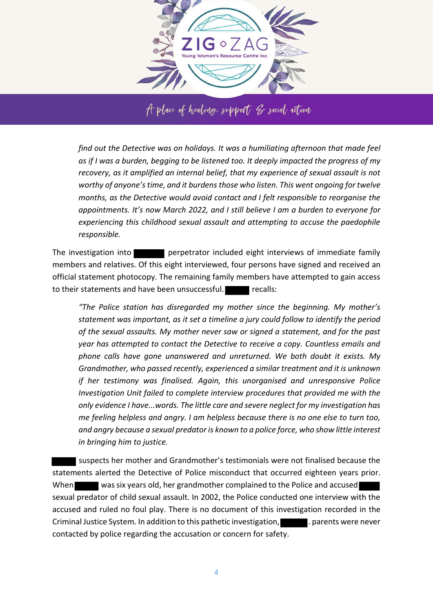

*find out the Detective was on holidays. It was a humiliating afternoon that made feel as if I was a burden, begging to be listened too. It deeply impacted the progress of my recovery, as it amplified an internal belief, that my experience of sexual assault is not worthy of anyone's time, and it burdens those who listen. This went ongoing for twelve months, as the Detective would avoid contact and I felt responsible to reorganise the appointments. It's now March 2022, and I still believe I am a burden to everyone for experiencing this childhood sexual assault and attempting to accuse the paedophile responsible.* 

The investigation into **perpetrator** included eight interviews of immediate family members and relatives. Of this eight interviewed, four persons have signed and received an official statement photocopy. The remaining family members have attempted to gain access to their statements and have been unsuccessful. **Fig. 1** recalls:

*"The Police station has disregarded my mother since the beginning. My mother's statement was important, as it set a timeline a jury could follow to identify the period of the sexual assaults. My mother never saw or signed a statement, and for the past year has attempted to contact the Detective to receive a copy. Countless emails and phone calls have gone unanswered and unreturned. We both doubt it exists. My Grandmother, who passed recently, experienced a similar treatment and it is unknown if her testimony was finalised. Again, this unorganised and unresponsive Police Investigation Unit failed to complete interview procedures that provided me with the only evidence I have...words. The little care and severe neglect for my investigation has me feeling helpless and angry. I am helpless because there is no one else to turn too, and angry because a sexual predator is known to a police force, who show little interest in bringing him to justice.* 

 suspects her mother and Grandmother's testimonials were not finalised because the statements alerted the Detective of Police misconduct that occurred eighteen years prior. When was six years old, her grandmother complained to the Police and accused sexual predator of child sexual assault. In 2002, the Police conducted one interview with the accused and ruled no foul play. There is no document of this investigation recorded in the Criminal Justice System. In addition to this pathetic investigation, **the patient of the state of the state** never contacted by police regarding the accusation or concern for safety.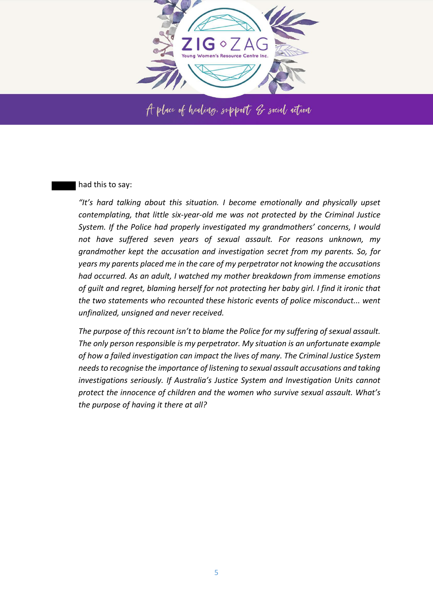

#### had this to say:

*"It's hard talking about this situation. I become emotionally and physically upset contemplating, that little six-year-old me was not protected by the Criminal Justice System. If the Police had properly investigated my grandmothers' concerns, I would not have suffered seven years of sexual assault. For reasons unknown, my grandmother kept the accusation and investigation secret from my parents. So, for years my parents placed me in the care of my perpetrator not knowing the accusations had occurred. As an adult, I watched my mother breakdown from immense emotions of guilt and regret, blaming herself for not protecting her baby girl. I find it ironic that the two statements who recounted these historic events of police misconduct... went unfinalized, unsigned and never received.* 

*The purpose of this recount isn't to blame the Police for my suffering of sexual assault. The only person responsible is my perpetrator. My situation is an unfortunate example of how a failed investigation can impact the lives of many. The Criminal Justice System needs to recognise the importance of listening to sexual assault accusations and taking investigations seriously. If Australia's Justice System and Investigation Units cannot protect the innocence of children and the women who survive sexual assault. What's the purpose of having it there at all?*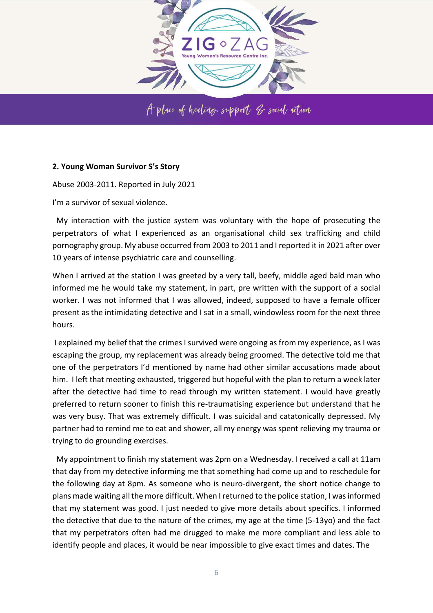

## **2. Young Woman Survivor S's Story**

Abuse 2003-2011. Reported in July 2021

I'm a survivor of sexual violence.

 My interaction with the justice system was voluntary with the hope of prosecuting the perpetrators of what I experienced as an organisational child sex trafficking and child pornography group. My abuse occurred from 2003 to 2011 and I reported it in 2021 after over 10 years of intense psychiatric care and counselling.

When I arrived at the station I was greeted by a very tall, beefy, middle aged bald man who informed me he would take my statement, in part, pre written with the support of a social worker. I was not informed that I was allowed, indeed, supposed to have a female officer present as the intimidating detective and I sat in a small, windowless room for the next three hours.

 I explained my belief that the crimes I survived were ongoing as from my experience, as I was escaping the group, my replacement was already being groomed. The detective told me that one of the perpetrators I'd mentioned by name had other similar accusations made about him. I left that meeting exhausted, triggered but hopeful with the plan to return a week later after the detective had time to read through my written statement. I would have greatly preferred to return sooner to finish this re-traumatising experience but understand that he was very busy. That was extremely difficult. I was suicidal and catatonically depressed. My partner had to remind me to eat and shower, all my energy was spent relieving my trauma or trying to do grounding exercises.

 My appointment to finish my statement was 2pm on a Wednesday. I received a call at 11am that day from my detective informing me that something had come up and to reschedule for the following day at 8pm. As someone who is neuro-divergent, the short notice change to plans made waiting all the more difficult. When I returned to the police station, I was informed that my statement was good. I just needed to give more details about specifics. I informed the detective that due to the nature of the crimes, my age at the time (5-13yo) and the fact that my perpetrators often had me drugged to make me more compliant and less able to identify people and places, it would be near impossible to give exact times and dates. The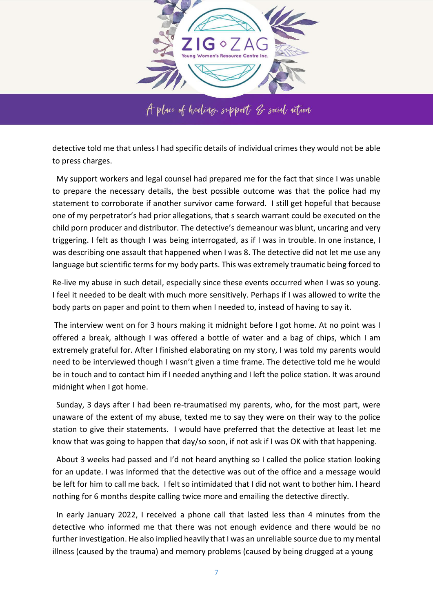

detective told me that unless I had specific details of individual crimes they would not be able to press charges.

 My support workers and legal counsel had prepared me for the fact that since I was unable to prepare the necessary details, the best possible outcome was that the police had my statement to corroborate if another survivor came forward. I still get hopeful that because one of my perpetrator's had prior allegations, that s search warrant could be executed on the child porn producer and distributor. The detective's demeanour was blunt, uncaring and very triggering. I felt as though I was being interrogated, as if I was in trouble. In one instance, I was describing one assault that happened when I was 8. The detective did not let me use any language but scientific terms for my body parts. This was extremely traumatic being forced to

Re-live my abuse in such detail, especially since these events occurred when I was so young. I feel it needed to be dealt with much more sensitively. Perhaps if I was allowed to write the body parts on paper and point to them when I needed to, instead of having to say it.

 The interview went on for 3 hours making it midnight before I got home. At no point was I offered a break, although I was offered a bottle of water and a bag of chips, which I am extremely grateful for. After I finished elaborating on my story, I was told my parents would need to be interviewed though I wasn't given a time frame. The detective told me he would be in touch and to contact him if I needed anything and I left the police station. It was around midnight when I got home.

 Sunday, 3 days after I had been re-traumatised my parents, who, for the most part, were unaware of the extent of my abuse, texted me to say they were on their way to the police station to give their statements. I would have preferred that the detective at least let me know that was going to happen that day/so soon, if not ask if I was OK with that happening.

 About 3 weeks had passed and I'd not heard anything so I called the police station looking for an update. I was informed that the detective was out of the office and a message would be left for him to call me back. I felt so intimidated that I did not want to bother him. I heard nothing for 6 months despite calling twice more and emailing the detective directly.

 In early January 2022, I received a phone call that lasted less than 4 minutes from the detective who informed me that there was not enough evidence and there would be no further investigation. He also implied heavily that I was an unreliable source due to my mental illness (caused by the trauma) and memory problems (caused by being drugged at a young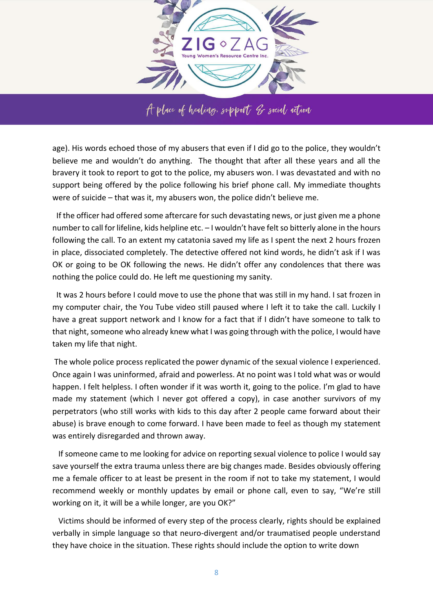

age). His words echoed those of my abusers that even if I did go to the police, they wouldn't believe me and wouldn't do anything. The thought that after all these years and all the bravery it took to report to got to the police, my abusers won. I was devastated and with no support being offered by the police following his brief phone call. My immediate thoughts were of suicide – that was it, my abusers won, the police didn't believe me.

 If the officer had offered some aftercare for such devastating news, or just given me a phone number to call for lifeline, kids helpline etc. – I wouldn't have felt so bitterly alone in the hours following the call. To an extent my catatonia saved my life as I spent the next 2 hours frozen in place, dissociated completely. The detective offered not kind words, he didn't ask if I was OK or going to be OK following the news. He didn't offer any condolences that there was nothing the police could do. He left me questioning my sanity.

 It was 2 hours before I could move to use the phone that was still in my hand. I sat frozen in my computer chair, the You Tube video still paused where I left it to take the call. Luckily I have a great support network and I know for a fact that if I didn't have someone to talk to that night, someone who already knew what I was going through with the police, I would have taken my life that night.

 The whole police process replicated the power dynamic of the sexual violence I experienced. Once again I was uninformed, afraid and powerless. At no point was I told what was or would happen. I felt helpless. I often wonder if it was worth it, going to the police. I'm glad to have made my statement (which I never got offered a copy), in case another survivors of my perpetrators (who still works with kids to this day after 2 people came forward about their abuse) is brave enough to come forward. I have been made to feel as though my statement was entirely disregarded and thrown away.

 If someone came to me looking for advice on reporting sexual violence to police I would say save yourself the extra trauma unless there are big changes made. Besides obviously offering me a female officer to at least be present in the room if not to take my statement, I would recommend weekly or monthly updates by email or phone call, even to say, "We're still working on it, it will be a while longer, are you OK?"

 Victims should be informed of every step of the process clearly, rights should be explained verbally in simple language so that neuro-divergent and/or traumatised people understand they have choice in the situation. These rights should include the option to write down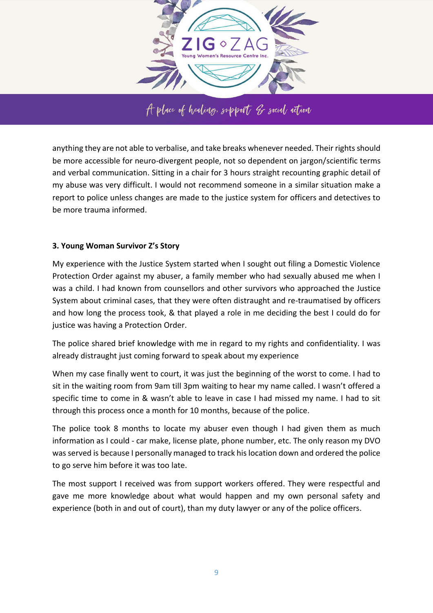

anything they are not able to verbalise, and take breaks whenever needed. Their rights should be more accessible for neuro-divergent people, not so dependent on jargon/scientific terms and verbal communication. Sitting in a chair for 3 hours straight recounting graphic detail of my abuse was very difficult. I would not recommend someone in a similar situation make a report to police unless changes are made to the justice system for officers and detectives to be more trauma informed.

## **3. Young Woman Survivor Z's Story**

My experience with the Justice System started when I sought out filing a Domestic Violence Protection Order against my abuser, a family member who had sexually abused me when I was a child. I had known from counsellors and other survivors who approached the Justice System about criminal cases, that they were often distraught and re-traumatised by officers and how long the process took, & that played a role in me deciding the best I could do for justice was having a Protection Order.

The police shared brief knowledge with me in regard to my rights and confidentiality. I was already distraught just coming forward to speak about my experience

When my case finally went to court, it was just the beginning of the worst to come. I had to sit in the waiting room from 9am till 3pm waiting to hear my name called. I wasn't offered a specific time to come in & wasn't able to leave in case I had missed my name. I had to sit through this process once a month for 10 months, because of the police.

The police took 8 months to locate my abuser even though I had given them as much information as I could - car make, license plate, phone number, etc. The only reason my DVO was served is because I personally managed to track his location down and ordered the police to go serve him before it was too late.

The most support I received was from support workers offered. They were respectful and gave me more knowledge about what would happen and my own personal safety and experience (both in and out of court), than my duty lawyer or any of the police officers.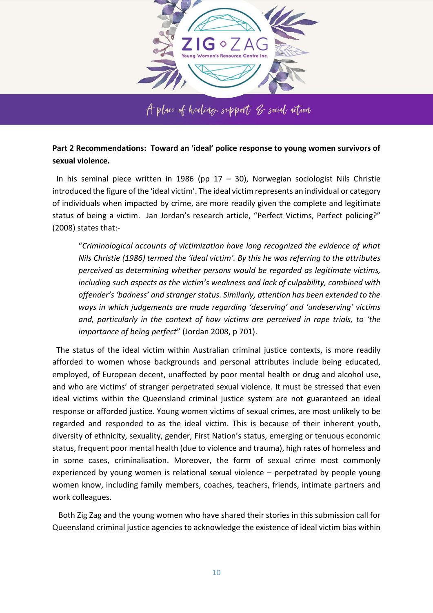

**Part 2 Recommendations: Toward an 'ideal' police response to young women survivors of** 

**sexual violence.** 

In his seminal piece written in 1986 (pp  $17 - 30$ ), Norwegian sociologist Nils Christie introduced the figure of the 'ideal victim'. The ideal victim represents an individual or category of individuals when impacted by crime, are more readily given the complete and legitimate status of being a victim. Jan Jordan's research article, "Perfect Victims, Perfect policing?" (2008) states that:-

"*Criminological accounts of victimization have long recognized the evidence of what Nils Christie (1986) termed the 'ideal victim'. By this he was referring to the attributes perceived as determining whether persons would be regarded as legitimate victims, including such aspects as the victim's weakness and lack of culpability, combined with offender's 'badness' and stranger status. Similarly, attention has been extended to the ways in which judgements are made regarding 'deserving' and 'undeserving' victims and, particularly in the context of how victims are perceived in rape trials, to 'the importance of being perfect*" (Jordan 2008, p 701).

 The status of the ideal victim within Australian criminal justice contexts, is more readily afforded to women whose backgrounds and personal attributes include being educated, employed, of European decent, unaffected by poor mental health or drug and alcohol use, and who are victims' of stranger perpetrated sexual violence. It must be stressed that even ideal victims within the Queensland criminal justice system are not guaranteed an ideal response or afforded justice. Young women victims of sexual crimes, are most unlikely to be regarded and responded to as the ideal victim. This is because of their inherent youth, diversity of ethnicity, sexuality, gender, First Nation's status, emerging or tenuous economic status, frequent poor mental health (due to violence and trauma), high rates of homeless and in some cases, criminalisation. Moreover, the form of sexual crime most commonly experienced by young women is relational sexual violence – perpetrated by people young women know, including family members, coaches, teachers, friends, intimate partners and work colleagues.

 Both Zig Zag and the young women who have shared their stories in this submission call for Queensland criminal justice agencies to acknowledge the existence of ideal victim bias within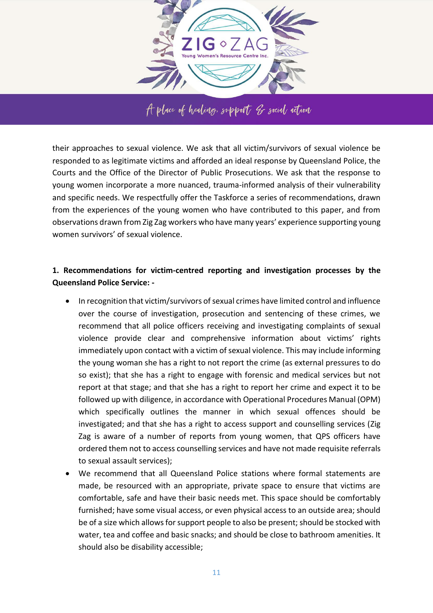

A place of healing, support of social action

their approaches to sexual violence. We ask that all victim/survivors of sexual violence be responded to as legitimate victims and afforded an ideal response by Queensland Police, the Courts and the Office of the Director of Public Prosecutions. We ask that the response to young women incorporate a more nuanced, trauma-informed analysis of their vulnerability and specific needs. We respectfully offer the Taskforce a series of recommendations, drawn from the experiences of the young women who have contributed to this paper, and from observations drawn from Zig Zag workers who have many years' experience supporting young women survivors' of sexual violence.

## **1. Recommendations for victim-centred reporting and investigation processes by the Queensland Police Service: -**

- In recognition that victim/survivors of sexual crimes have limited control and influence over the course of investigation, prosecution and sentencing of these crimes, we recommend that all police officers receiving and investigating complaints of sexual violence provide clear and comprehensive information about victims' rights immediately upon contact with a victim of sexual violence. This may include informing the young woman she has a right to not report the crime (as external pressures to do so exist); that she has a right to engage with forensic and medical services but not report at that stage; and that she has a right to report her crime and expect it to be followed up with diligence, in accordance with Operational Procedures Manual (OPM) which specifically outlines the manner in which sexual offences should be investigated; and that she has a right to access support and counselling services (Zig Zag is aware of a number of reports from young women, that QPS officers have ordered them not to access counselling services and have not made requisite referrals to sexual assault services);
- We recommend that all Queensland Police stations where formal statements are made, be resourced with an appropriate, private space to ensure that victims are comfortable, safe and have their basic needs met. This space should be comfortably furnished; have some visual access, or even physical access to an outside area; should be of a size which allows for support people to also be present; should be stocked with water, tea and coffee and basic snacks; and should be close to bathroom amenities. It should also be disability accessible;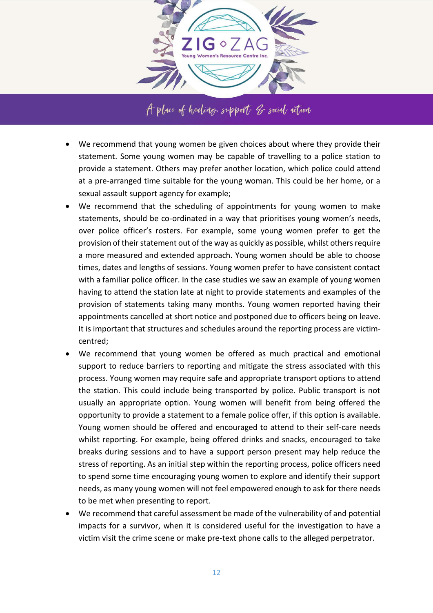

- We recommend that young women be given choices about where they provide their statement. Some young women may be capable of travelling to a police station to provide a statement. Others may prefer another location, which police could attend at a pre-arranged time suitable for the young woman. This could be her home, or a sexual assault support agency for example;
- We recommend that the scheduling of appointments for young women to make statements, should be co-ordinated in a way that prioritises young women's needs, over police officer's rosters. For example, some young women prefer to get the provision of their statement out of the way as quickly as possible, whilst others require a more measured and extended approach. Young women should be able to choose times, dates and lengths of sessions. Young women prefer to have consistent contact with a familiar police officer. In the case studies we saw an example of young women having to attend the station late at night to provide statements and examples of the provision of statements taking many months. Young women reported having their appointments cancelled at short notice and postponed due to officers being on leave. It is important that structures and schedules around the reporting process are victimcentred;
- We recommend that young women be offered as much practical and emotional support to reduce barriers to reporting and mitigate the stress associated with this process. Young women may require safe and appropriate transport options to attend the station. This could include being transported by police. Public transport is not usually an appropriate option. Young women will benefit from being offered the opportunity to provide a statement to a female police offer, if this option is available. Young women should be offered and encouraged to attend to their self-care needs whilst reporting. For example, being offered drinks and snacks, encouraged to take breaks during sessions and to have a support person present may help reduce the stress of reporting. As an initial step within the reporting process, police officers need to spend some time encouraging young women to explore and identify their support needs, as many young women will not feel empowered enough to ask for there needs to be met when presenting to report.
- We recommend that careful assessment be made of the vulnerability of and potential impacts for a survivor, when it is considered useful for the investigation to have a victim visit the crime scene or make pre-text phone calls to the alleged perpetrator.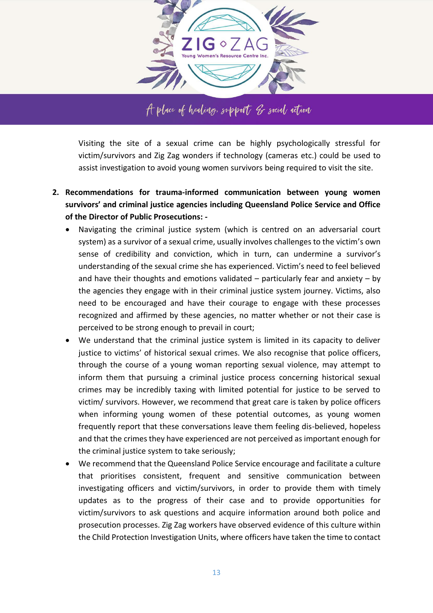

Visiting the site of a sexual crime can be highly psychologically stressful for victim/survivors and Zig Zag wonders if technology (cameras etc.) could be used to assist investigation to avoid young women survivors being required to visit the site.

- **2. Recommendations for trauma-informed communication between young women survivors' and criminal justice agencies including Queensland Police Service and Office of the Director of Public Prosecutions: -**
	- Navigating the criminal justice system (which is centred on an adversarial court system) as a survivor of a sexual crime, usually involves challenges to the victim's own sense of credibility and conviction, which in turn, can undermine a survivor's understanding of the sexual crime she has experienced. Victim's need to feel believed and have their thoughts and emotions validated  $-$  particularly fear and anxiety  $-$  by the agencies they engage with in their criminal justice system journey. Victims, also need to be encouraged and have their courage to engage with these processes recognized and affirmed by these agencies, no matter whether or not their case is perceived to be strong enough to prevail in court;
	- We understand that the criminal justice system is limited in its capacity to deliver justice to victims' of historical sexual crimes. We also recognise that police officers, through the course of a young woman reporting sexual violence, may attempt to inform them that pursuing a criminal justice process concerning historical sexual crimes may be incredibly taxing with limited potential for justice to be served to victim/ survivors. However, we recommend that great care is taken by police officers when informing young women of these potential outcomes, as young women frequently report that these conversations leave them feeling dis-believed, hopeless and that the crimes they have experienced are not perceived as important enough for the criminal justice system to take seriously;
	- We recommend that the Queensland Police Service encourage and facilitate a culture that prioritises consistent, frequent and sensitive communication between investigating officers and victim/survivors, in order to provide them with timely updates as to the progress of their case and to provide opportunities for victim/survivors to ask questions and acquire information around both police and prosecution processes. Zig Zag workers have observed evidence of this culture within the Child Protection Investigation Units, where officers have taken the time to contact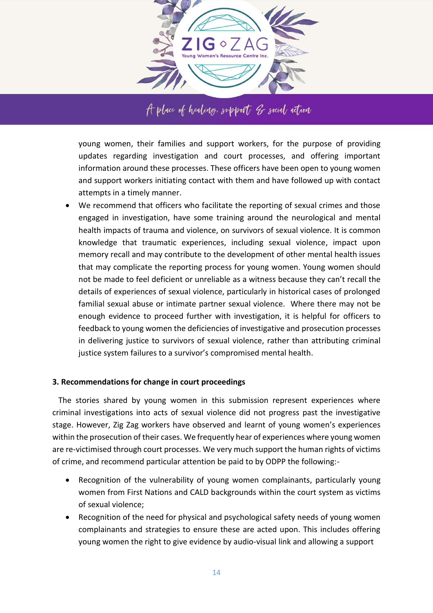

young women, their families and support workers, for the purpose of providing updates regarding investigation and court processes, and offering important information around these processes. These officers have been open to young women and support workers initiating contact with them and have followed up with contact attempts in a timely manner.

 We recommend that officers who facilitate the reporting of sexual crimes and those engaged in investigation, have some training around the neurological and mental health impacts of trauma and violence, on survivors of sexual violence. It is common knowledge that traumatic experiences, including sexual violence, impact upon memory recall and may contribute to the development of other mental health issues that may complicate the reporting process for young women. Young women should not be made to feel deficient or unreliable as a witness because they can't recall the details of experiences of sexual violence, particularly in historical cases of prolonged familial sexual abuse or intimate partner sexual violence. Where there may not be enough evidence to proceed further with investigation, it is helpful for officers to feedback to young women the deficiencies of investigative and prosecution processes in delivering justice to survivors of sexual violence, rather than attributing criminal justice system failures to a survivor's compromised mental health.

## **3. Recommendations for change in court proceedings**

 The stories shared by young women in this submission represent experiences where criminal investigations into acts of sexual violence did not progress past the investigative stage. However, Zig Zag workers have observed and learnt of young women's experiences within the prosecution of their cases. We frequently hear of experiences where young women are re-victimised through court processes. We very much support the human rights of victims of crime, and recommend particular attention be paid to by ODPP the following:-

- Recognition of the vulnerability of young women complainants, particularly young women from First Nations and CALD backgrounds within the court system as victims of sexual violence;
- Recognition of the need for physical and psychological safety needs of young women complainants and strategies to ensure these are acted upon. This includes offering young women the right to give evidence by audio-visual link and allowing a support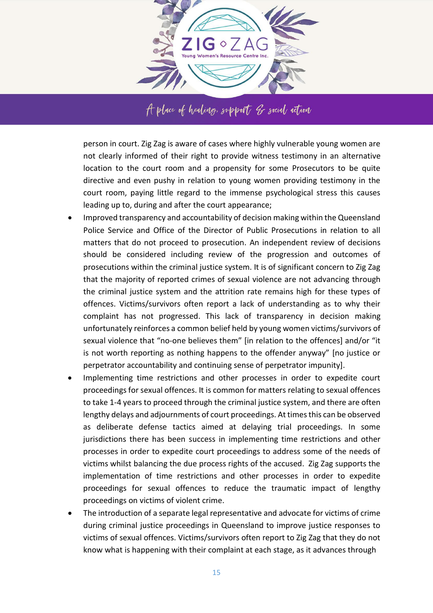

person in court. Zig Zag is aware of cases where highly vulnerable young women are not clearly informed of their right to provide witness testimony in an alternative location to the court room and a propensity for some Prosecutors to be quite directive and even pushy in relation to young women providing testimony in the court room, paying little regard to the immense psychological stress this causes leading up to, during and after the court appearance;

- Improved transparency and accountability of decision making within the Queensland Police Service and Office of the Director of Public Prosecutions in relation to all matters that do not proceed to prosecution. An independent review of decisions should be considered including review of the progression and outcomes of prosecutions within the criminal justice system. It is of significant concern to Zig Zag that the majority of reported crimes of sexual violence are not advancing through the criminal justice system and the attrition rate remains high for these types of offences. Victims/survivors often report a lack of understanding as to why their complaint has not progressed. This lack of transparency in decision making unfortunately reinforces a common belief held by young women victims/survivors of sexual violence that "no-one believes them" [in relation to the offences] and/or "it is not worth reporting as nothing happens to the offender anyway" [no justice or perpetrator accountability and continuing sense of perpetrator impunity].
- Implementing time restrictions and other processes in order to expedite court proceedings for sexual offences. It is common for matters relating to sexual offences to take 1-4 years to proceed through the criminal justice system, and there are often lengthy delays and adjournments of court proceedings. At times this can be observed as deliberate defense tactics aimed at delaying trial proceedings. In some jurisdictions there has been success in implementing time restrictions and other processes in order to expedite court proceedings to address some of the needs of victims whilst balancing the due process rights of the accused. Zig Zag supports the implementation of time restrictions and other processes in order to expedite proceedings for sexual offences to reduce the traumatic impact of lengthy proceedings on victims of violent crime.
- The introduction of a separate legal representative and advocate for victims of crime during criminal justice proceedings in Queensland to improve justice responses to victims of sexual offences. Victims/survivors often report to Zig Zag that they do not know what is happening with their complaint at each stage, as it advances through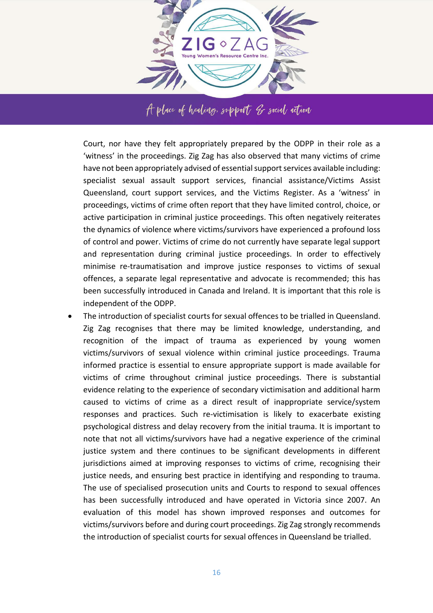

Court, nor have they felt appropriately prepared by the ODPP in their role as a 'witness' in the proceedings. Zig Zag has also observed that many victims of crime have not been appropriately advised of essential support services available including: specialist sexual assault support services, financial assistance/Victims Assist Queensland, court support services, and the Victims Register. As a 'witness' in proceedings, victims of crime often report that they have limited control, choice, or active participation in criminal justice proceedings. This often negatively reiterates the dynamics of violence where victims/survivors have experienced a profound loss of control and power. Victims of crime do not currently have separate legal support and representation during criminal justice proceedings. In order to effectively minimise re-traumatisation and improve justice responses to victims of sexual offences, a separate legal representative and advocate is recommended; this has been successfully introduced in Canada and Ireland. It is important that this role is independent of the ODPP.

 The introduction of specialist courts for sexual offences to be trialled in Queensland. Zig Zag recognises that there may be limited knowledge, understanding, and recognition of the impact of trauma as experienced by young women victims/survivors of sexual violence within criminal justice proceedings. Trauma informed practice is essential to ensure appropriate support is made available for victims of crime throughout criminal justice proceedings. There is substantial evidence relating to the experience of secondary victimisation and additional harm caused to victims of crime as a direct result of inappropriate service/system responses and practices. Such re-victimisation is likely to exacerbate existing psychological distress and delay recovery from the initial trauma. It is important to note that not all victims/survivors have had a negative experience of the criminal justice system and there continues to be significant developments in different jurisdictions aimed at improving responses to victims of crime, recognising their justice needs, and ensuring best practice in identifying and responding to trauma. The use of specialised prosecution units and Courts to respond to sexual offences has been successfully introduced and have operated in Victoria since 2007. An evaluation of this model has shown improved responses and outcomes for victims/survivors before and during court proceedings. Zig Zag strongly recommends the introduction of specialist courts for sexual offences in Queensland be trialled.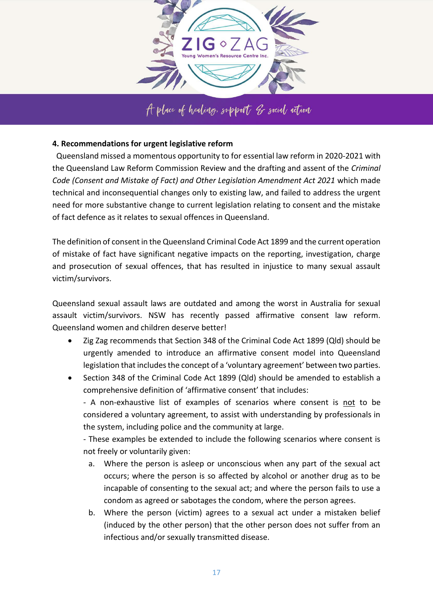

A place of healing, support of social action

### **4. Recommendations for urgent legislative reform**

 Queensland missed a momentous opportunity to for essential law reform in 2020-2021 with the Queensland Law Reform Commission Review and the drafting and assent of the *Criminal Code (Consent and Mistake of Fact) and Other Legislation Amendment Act 2021* which made technical and inconsequential changes only to existing law, and failed to address the urgent need for more substantive change to current legislation relating to consent and the mistake of fact defence as it relates to sexual offences in Queensland.

The definition of consent in the Queensland Criminal Code Act 1899 and the current operation of mistake of fact have significant negative impacts on the reporting, investigation, charge and prosecution of sexual offences, that has resulted in injustice to many sexual assault victim/survivors.

Queensland sexual assault laws are outdated and among the worst in Australia for sexual assault victim/survivors. NSW has recently passed affirmative consent law reform. Queensland women and children deserve better!

- Zig Zag recommends that Section 348 of the Criminal Code Act 1899 (Qld) should be urgently amended to introduce an affirmative consent model into Queensland legislation that includes the concept of a 'voluntary agreement' between two parties.
- Section 348 of the Criminal Code Act 1899 (Qld) should be amended to establish a comprehensive definition of 'affirmative consent' that includes:

- A non-exhaustive list of examples of scenarios where consent is not to be considered a voluntary agreement, to assist with understanding by professionals in the system, including police and the community at large.

- These examples be extended to include the following scenarios where consent is not freely or voluntarily given:

- a. Where the person is asleep or unconscious when any part of the sexual act occurs; where the person is so affected by alcohol or another drug as to be incapable of consenting to the sexual act; and where the person fails to use a condom as agreed or sabotages the condom, where the person agrees.
- b. Where the person (victim) agrees to a sexual act under a mistaken belief (induced by the other person) that the other person does not suffer from an infectious and/or sexually transmitted disease.